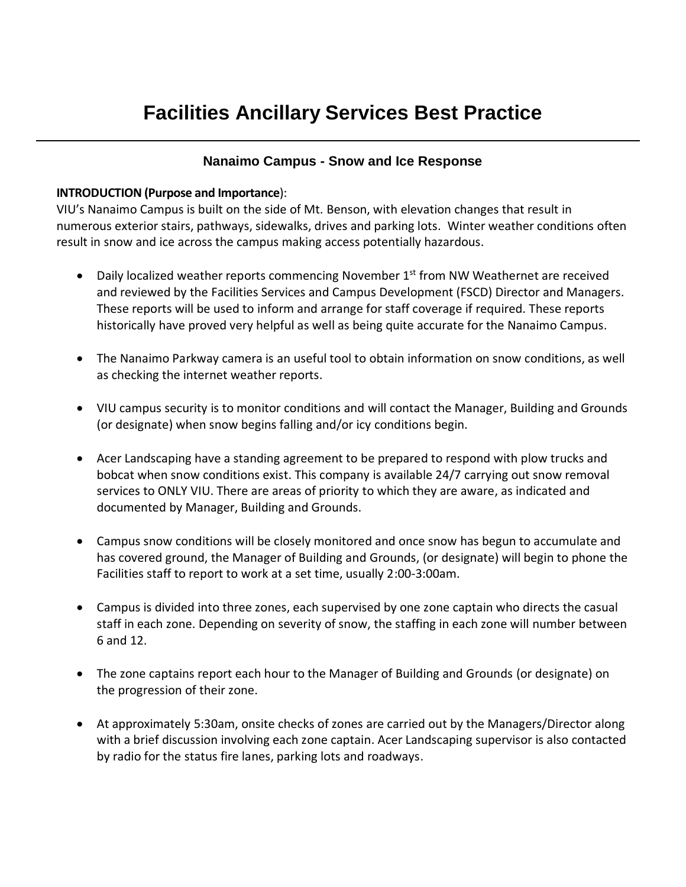## **Nanaimo Campus - Snow and Ice Response**

## **INTRODUCTION (Purpose and Importance**):

VIU's Nanaimo Campus is built on the side of Mt. Benson, with elevation changes that result in numerous exterior stairs, pathways, sidewalks, drives and parking lots. Winter weather conditions often result in snow and ice across the campus making access potentially hazardous.

- Daily localized weather reports commencing November  $1<sup>st</sup>$  from NW Weathernet are received and reviewed by the Facilities Services and Campus Development (FSCD) Director and Managers. These reports will be used to inform and arrange for staff coverage if required. These reports historically have proved very helpful as well as being quite accurate for the Nanaimo Campus.
- The Nanaimo Parkway camera is an useful tool to obtain information on snow conditions, as well as checking the internet weather reports.
- VIU campus security is to monitor conditions and will contact the Manager, Building and Grounds (or designate) when snow begins falling and/or icy conditions begin.
- Acer Landscaping have a standing agreement to be prepared to respond with plow trucks and bobcat when snow conditions exist. This company is available 24/7 carrying out snow removal services to ONLY VIU. There are areas of priority to which they are aware, as indicated and documented by Manager, Building and Grounds.
- Campus snow conditions will be closely monitored and once snow has begun to accumulate and has covered ground, the Manager of Building and Grounds, (or designate) will begin to phone the Facilities staff to report to work at a set time, usually 2:00-3:00am.
- Campus is divided into three zones, each supervised by one zone captain who directs the casual staff in each zone. Depending on severity of snow, the staffing in each zone will number between 6 and 12.
- The zone captains report each hour to the Manager of Building and Grounds (or designate) on the progression of their zone.
- At approximately 5:30am, onsite checks of zones are carried out by the Managers/Director along with a brief discussion involving each zone captain. Acer Landscaping supervisor is also contacted by radio for the status fire lanes, parking lots and roadways.